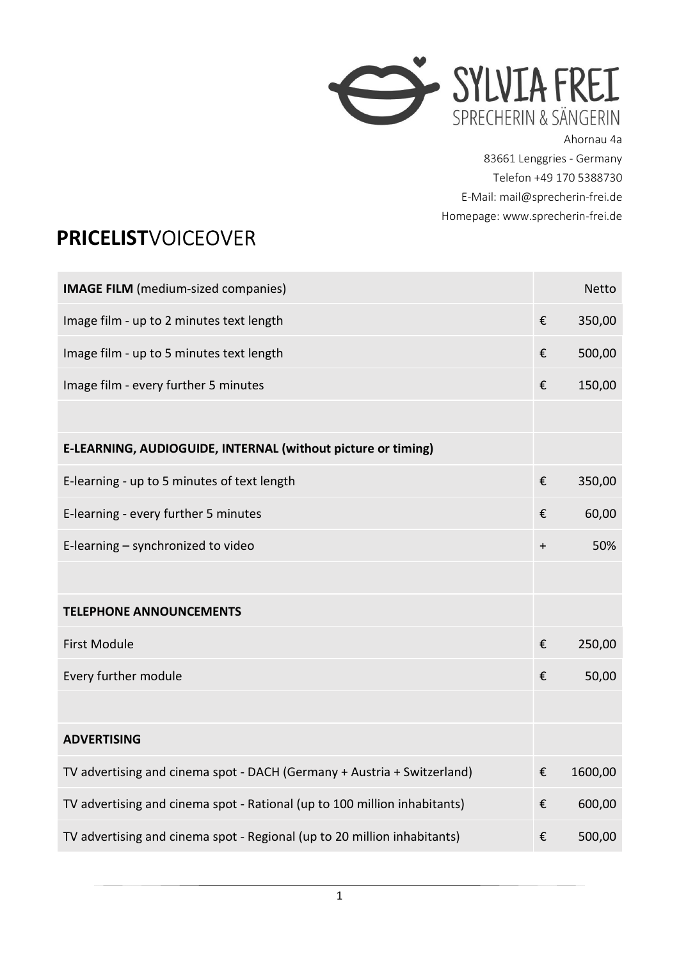

Ahornau 4a 83661 Lenggries - Germany Telefon +49 170 5388730 E-Mail: mail@sprecherin-frei.de Homepage: www.sprecherin-frei.de

## PRICELISTVOICEOVER

| <b>IMAGE FILM</b> (medium-sized companies)                                |                         | <b>Netto</b> |
|---------------------------------------------------------------------------|-------------------------|--------------|
| Image film - up to 2 minutes text length                                  | €                       | 350,00       |
| Image film - up to 5 minutes text length                                  | €                       | 500,00       |
| Image film - every further 5 minutes                                      | €                       | 150,00       |
|                                                                           |                         |              |
| E-LEARNING, AUDIOGUIDE, INTERNAL (without picture or timing)              |                         |              |
| E-learning - up to 5 minutes of text length                               | €                       | 350,00       |
| E-learning - every further 5 minutes                                      | €                       | 60,00        |
| E-learning - synchronized to video                                        | $\ddot{}$               | 50%          |
|                                                                           |                         |              |
| <b>TELEPHONE ANNOUNCEMENTS</b>                                            |                         |              |
| <b>First Module</b>                                                       | €                       | 250,00       |
| Every further module                                                      | €                       | 50,00        |
|                                                                           |                         |              |
| <b>ADVERTISING</b>                                                        |                         |              |
| TV advertising and cinema spot - DACH (Germany + Austria + Switzerland)   | $\boldsymbol{\epsilon}$ | 1600,00      |
| TV advertising and cinema spot - Rational (up to 100 million inhabitants) | €                       | 600,00       |
| TV advertising and cinema spot - Regional (up to 20 million inhabitants)  | €                       | 500,00       |